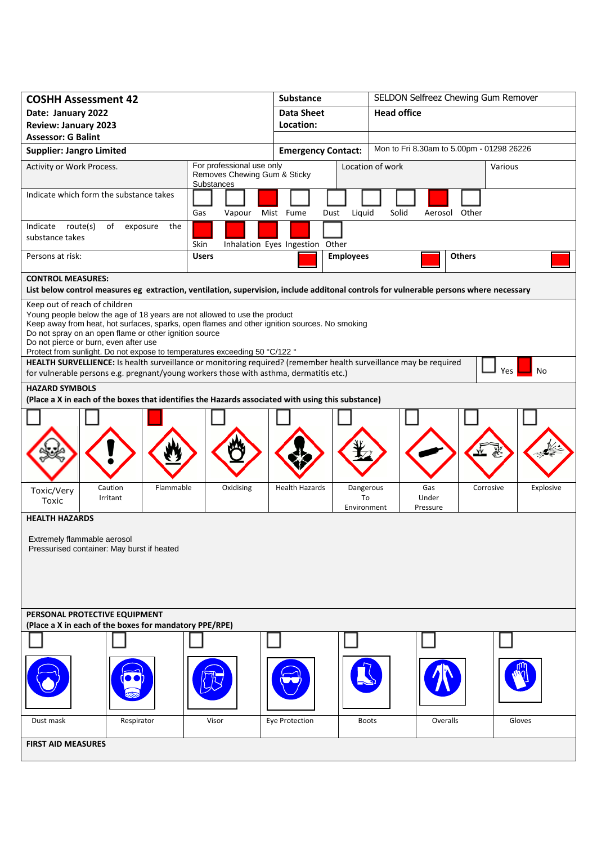| <b>COSHH Assessment 42</b>                                                                                                                                                                                                                                                                                                                                                                                                                                                                                        |                                                                         | <b>Substance</b>      |                                | SELDON Selfreez Chewing Gum Remover |                                           |           |  |
|-------------------------------------------------------------------------------------------------------------------------------------------------------------------------------------------------------------------------------------------------------------------------------------------------------------------------------------------------------------------------------------------------------------------------------------------------------------------------------------------------------------------|-------------------------------------------------------------------------|-----------------------|--------------------------------|-------------------------------------|-------------------------------------------|-----------|--|
| Date: January 2022                                                                                                                                                                                                                                                                                                                                                                                                                                                                                                |                                                                         | <b>Data Sheet</b>     |                                | <b>Head office</b>                  |                                           |           |  |
| <b>Review: January 2023</b>                                                                                                                                                                                                                                                                                                                                                                                                                                                                                       | Location:                                                               |                       |                                |                                     |                                           |           |  |
| <b>Assessor: G Balint</b>                                                                                                                                                                                                                                                                                                                                                                                                                                                                                         |                                                                         |                       |                                |                                     |                                           |           |  |
| <b>Supplier: Jangro Limited</b>                                                                                                                                                                                                                                                                                                                                                                                                                                                                                   |                                                                         |                       | <b>Emergency Contact:</b>      |                                     | Mon to Fri 8.30am to 5.00pm - 01298 26226 |           |  |
| Activity or Work Process.                                                                                                                                                                                                                                                                                                                                                                                                                                                                                         | For professional use only<br>Removes Chewing Gum & Sticky<br>Substances |                       |                                | Location of work                    |                                           | Various   |  |
| Indicate which form the substance takes                                                                                                                                                                                                                                                                                                                                                                                                                                                                           |                                                                         |                       |                                |                                     |                                           |           |  |
|                                                                                                                                                                                                                                                                                                                                                                                                                                                                                                                   | Gas<br>Vapour                                                           | Mist Fume<br>Dust     | Liquid                         | Solid                               | Aerosol Other                             |           |  |
| Indicate route(s)<br>of<br>the<br>exposure<br>substance takes                                                                                                                                                                                                                                                                                                                                                                                                                                                     | Skin<br>Inhalation Eyes Ingestion Other                                 |                       |                                |                                     |                                           |           |  |
| Persons at risk:                                                                                                                                                                                                                                                                                                                                                                                                                                                                                                  | <b>Users</b>                                                            |                       | <b>Employees</b>               |                                     | <b>Others</b>                             |           |  |
| <b>CONTROL MEASURES:</b>                                                                                                                                                                                                                                                                                                                                                                                                                                                                                          |                                                                         |                       |                                |                                     |                                           |           |  |
| List below control measures eg extraction, ventilation, supervision, include additonal controls for vulnerable persons where necessary                                                                                                                                                                                                                                                                                                                                                                            |                                                                         |                       |                                |                                     |                                           |           |  |
| Keep out of reach of children<br>Young people below the age of 18 years are not allowed to use the product<br>Keep away from heat, hot surfaces, sparks, open flames and other ignition sources. No smoking<br>Do not spray on an open flame or other ignition source<br>Do not pierce or burn, even after use<br>Protect from sunlight. Do not expose to temperatures exceeding 50 °C/122 °<br>HEALTH SURVELLIENCE: Is health surveillance or monitoring required? (remember health surveillance may be required |                                                                         |                       |                                |                                     |                                           |           |  |
| for vulnerable persons e.g. pregnant/young workers those with asthma, dermatitis etc.)                                                                                                                                                                                                                                                                                                                                                                                                                            |                                                                         |                       |                                |                                     |                                           | Yes<br>No |  |
| <b>HAZARD SYMBOLS</b><br>(Place a X in each of the boxes that identifies the Hazards associated with using this substance)                                                                                                                                                                                                                                                                                                                                                                                        |                                                                         |                       |                                |                                     |                                           |           |  |
|                                                                                                                                                                                                                                                                                                                                                                                                                                                                                                                   |                                                                         |                       |                                |                                     |                                           |           |  |
| Caution<br>Flammable<br>Toxic/Very<br>Irritant<br>Toxic                                                                                                                                                                                                                                                                                                                                                                                                                                                           | Oxidising                                                               | <b>Health Hazards</b> | Dangerous<br>To<br>Environment | Gas<br>Under<br>Pressure            | Corrosive                                 | Explosive |  |
| <b>HEALTH HAZARDS</b>                                                                                                                                                                                                                                                                                                                                                                                                                                                                                             |                                                                         |                       |                                |                                     |                                           |           |  |
| Extremely flammable aerosol<br>Pressurised container: May burst if heated                                                                                                                                                                                                                                                                                                                                                                                                                                         |                                                                         |                       |                                |                                     |                                           |           |  |
| PERSONAL PROTECTIVE EQUIPMENT<br>(Place a X in each of the boxes for mandatory PPE/RPE)                                                                                                                                                                                                                                                                                                                                                                                                                           |                                                                         |                       |                                |                                     |                                           |           |  |
|                                                                                                                                                                                                                                                                                                                                                                                                                                                                                                                   |                                                                         |                       |                                |                                     |                                           |           |  |
|                                                                                                                                                                                                                                                                                                                                                                                                                                                                                                                   |                                                                         |                       |                                |                                     |                                           |           |  |
| Dust mask<br>Respirator                                                                                                                                                                                                                                                                                                                                                                                                                                                                                           | Visor                                                                   | Eye Protection        | <b>Boots</b>                   |                                     | Overalls                                  | Gloves    |  |
| <b>FIRST AID MEASURES</b>                                                                                                                                                                                                                                                                                                                                                                                                                                                                                         |                                                                         |                       |                                |                                     |                                           |           |  |
|                                                                                                                                                                                                                                                                                                                                                                                                                                                                                                                   |                                                                         |                       |                                |                                     |                                           |           |  |